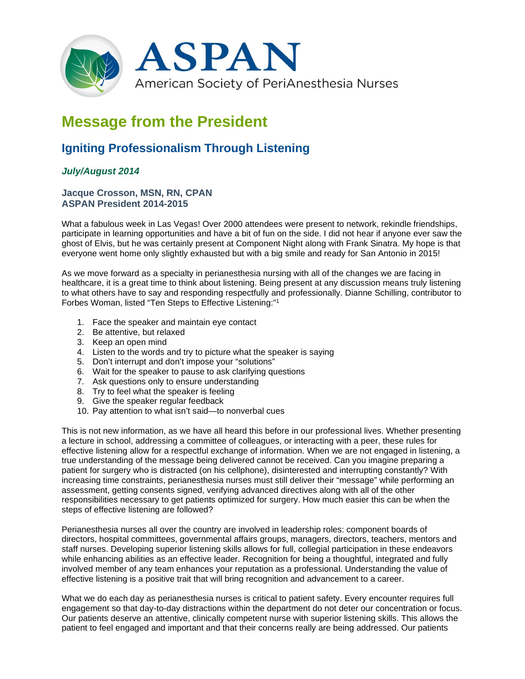

# **Message from the President**

# **Igniting Professionalism Through Listening**

## *July/August 2014*

### **Jacque Crosson, MSN, RN, CPAN ASPAN President 2014-2015**

What a fabulous week in Las Vegas! Over 2000 attendees were present to network, rekindle friendships, participate in learning opportunities and have a bit of fun on the side. I did not hear if anyone ever saw the ghost of Elvis, but he was certainly present at Component Night along with Frank Sinatra. My hope is that everyone went home only slightly exhausted but with a big smile and ready for San Antonio in 2015!

As we move forward as a specialty in perianesthesia nursing with all of the changes we are facing in healthcare, it is a great time to think about listening. Being present at any discussion means truly listening to what others have to say and responding respectfully and professionally. Dianne Schilling, contributor to Forbes Woman, listed "Ten Steps to Effective Listening:"1

- 1. Face the speaker and maintain eye contact
- 2. Be attentive, but relaxed
- 3. Keep an open mind
- 4. Listen to the words and try to picture what the speaker is saying
- 5. Don't interrupt and don't impose your "solutions"
- 6. Wait for the speaker to pause to ask clarifying questions
- 7. Ask questions only to ensure understanding
- 8. Try to feel what the speaker is feeling
- 9. Give the speaker regular feedback
- 10. Pay attention to what isn't said—to nonverbal cues

This is not new information, as we have all heard this before in our professional lives. Whether presenting a lecture in school, addressing a committee of colleagues, or interacting with a peer, these rules for effective listening allow for a respectful exchange of information. When we are not engaged in listening, a true understanding of the message being delivered cannot be received. Can you imagine preparing a patient for surgery who is distracted (on his cellphone), disinterested and interrupting constantly? With increasing time constraints, perianesthesia nurses must still deliver their "message" while performing an assessment, getting consents signed, verifying advanced directives along with all of the other responsibilities necessary to get patients optimized for surgery. How much easier this can be when the steps of effective listening are followed?

Perianesthesia nurses all over the country are involved in leadership roles: component boards of directors, hospital committees, governmental affairs groups, managers, directors, teachers, mentors and staff nurses. Developing superior listening skills allows for full, collegial participation in these endeavors while enhancing abilities as an effective leader. Recognition for being a thoughtful, integrated and fully involved member of any team enhances your reputation as a professional. Understanding the value of effective listening is a positive trait that will bring recognition and advancement to a career.

What we do each day as perianesthesia nurses is critical to patient safety. Every encounter requires full engagement so that day-to-day distractions within the department do not deter our concentration or focus. Our patients deserve an attentive, clinically competent nurse with superior listening skills. This allows the patient to feel engaged and important and that their concerns really are being addressed. Our patients